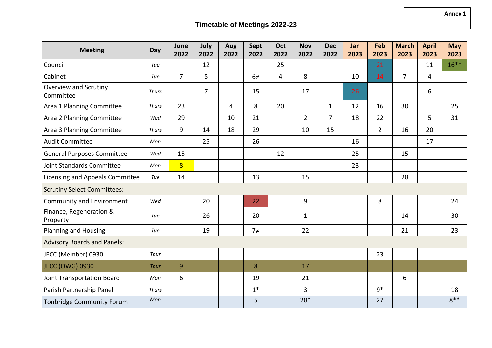| <b>Meeting</b>                      | Day          | June<br>2022   | July<br>2022   | Aug<br>2022 | Sept<br>2022 | Oct<br>2022    | <b>Nov</b><br>2022 | <b>Dec</b><br>2022 | Jan<br>2023 | Feb<br>2023    | <b>March</b><br>2023 | <b>April</b><br>2023 | <b>May</b><br>2023 |
|-------------------------------------|--------------|----------------|----------------|-------------|--------------|----------------|--------------------|--------------------|-------------|----------------|----------------------|----------------------|--------------------|
| Council                             | Tue          |                | 12             |             |              | 25             |                    |                    |             | 21             |                      | 11                   | $16***$            |
| Cabinet                             | Tue          | $\overline{7}$ | 5              |             | $6\neq$      | $\overline{4}$ | 8                  |                    | 10          | 14             | $\overline{7}$       | $\overline{4}$       |                    |
| Overview and Scrutiny<br>Committee  | <b>Thurs</b> |                | $\overline{7}$ |             | 15           |                | 17                 |                    | 26          |                |                      | 6                    |                    |
| Area 1 Planning Committee           | <b>Thurs</b> | 23             |                | 4           | 8            | 20             |                    | $\mathbf{1}$       | 12          | 16             | 30                   |                      | 25                 |
| Area 2 Planning Committee           | Wed          | 29             |                | 10          | 21           |                | $\overline{2}$     | $\overline{7}$     | 18          | 22             |                      | 5                    | 31                 |
| Area 3 Planning Committee           | <b>Thurs</b> | 9              | 14             | 18          | 29           |                | 10                 | 15                 |             | $\overline{2}$ | 16                   | 20                   |                    |
| <b>Audit Committee</b>              | Mon          |                | 25             |             | 26           |                |                    |                    | 16          |                |                      | 17                   |                    |
| <b>General Purposes Committee</b>   | Wed          | 15             |                |             |              | 12             |                    |                    | 25          |                | 15                   |                      |                    |
| Joint Standards Committee           | Mon          | 8              |                |             |              |                |                    |                    | 23          |                |                      |                      |                    |
| Licensing and Appeals Committee     | Tue          | 14             |                |             | 13           |                | 15                 |                    |             |                | 28                   |                      |                    |
| <b>Scrutiny Select Committees:</b>  |              |                |                |             |              |                |                    |                    |             |                |                      |                      |                    |
| Community and Environment           | Wed          |                | 20             |             | 22           |                | 9                  |                    |             | 8              |                      |                      | 24                 |
| Finance, Regeneration &<br>Property | Tue          |                | 26             |             | 20           |                | $\mathbf{1}$       |                    |             |                | 14                   |                      | 30                 |
| <b>Planning and Housing</b>         | Tue          |                | 19             |             | $7\neq$      |                | 22                 |                    |             |                | 21                   |                      | 23                 |
| <b>Advisory Boards and Panels:</b>  |              |                |                |             |              |                |                    |                    |             |                |                      |                      |                    |
| JECC (Member) 0930                  | Thur         |                |                |             |              |                |                    |                    |             | 23             |                      |                      |                    |
| JECC (OWG) 0930                     | Thur         | 9              |                |             | 8            |                | 17                 |                    |             |                |                      |                      |                    |
| Joint Transportation Board          | Mon          | 6              |                |             | 19           |                | 21                 |                    |             |                | 6                    |                      |                    |
| Parish Partnership Panel            | <b>Thurs</b> |                |                |             | $1*$         |                | 3                  |                    |             | $9*$           |                      |                      | 18                 |
| <b>Tonbridge Community Forum</b>    | Mon          |                |                |             | 5            |                | 28*                |                    |             | 27             |                      |                      | $8**$              |

**Annex 1**